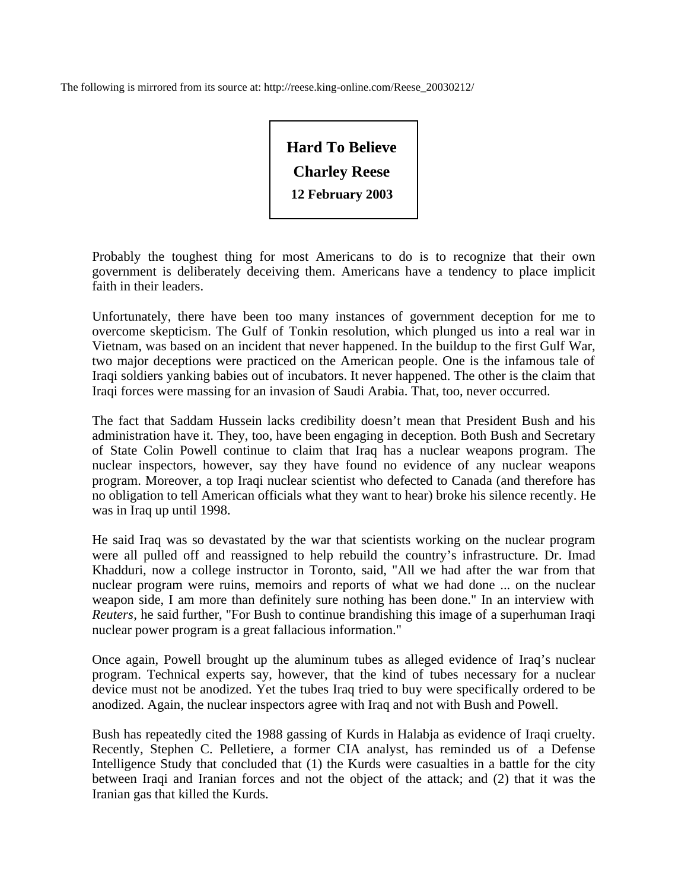The following is mirrored from its source at: http://reese.king-online.com/Reese\_20030212/

**Hard To Believe Charley Reese 12 February 2003** 

Probably the toughest thing for most Americans to do is to recognize that their own government is deliberately deceiving them. Americans have a tendency to place implicit faith in their leaders.

Unfortunately, there have been too many instances of government deception for me to overcome skepticism. The Gulf of Tonkin resolution, which plunged us into a real war in Vietnam, was based on an incident that never happened. In the buildup to the first Gulf War, two major deceptions were practiced on the American people. One is the infamous tale of Iraqi soldiers yanking babies out of incubators. It never happened. The other is the claim that Iraqi forces were massing for an invasion of Saudi Arabia. That, too, never occurred.

The fact that Saddam Hussein lacks credibility doesn't mean that President Bush and his administration have it. They, too, have been engaging in deception. Both Bush and Secretary of State Colin Powell continue to claim that Iraq has a nuclear weapons program. The nuclear inspectors, however, say they have found no evidence of any nuclear weapons program. Moreover, a top Iraqi nuclear scientist who defected to Canada (and therefore has no obligation to tell American officials what they want to hear) broke his silence recently. He was in Iraq up until 1998.

He said Iraq was so devastated by the war that scientists working on the nuclear program were all pulled off and reassigned to help rebuild the country's infrastructure. Dr. Imad Khadduri, now a college instructor in Toronto, said, "All we had after the war from that nuclear program were ruins, memoirs and reports of what we had done ... on the nuclear weapon side, I am more than definitely sure nothing has been done." In an interview with *Reuters*, he said further, "For Bush to continue brandishing this image of a superhuman Iraqi nuclear power program is a great fallacious information."

Once again, Powell brought up the aluminum tubes as alleged evidence of Iraq's nuclear program. Technical experts say, however, that the kind of tubes necessary for a nuclear device must not be anodized. Yet the tubes Iraq tried to buy were specifically ordered to be anodized. Again, the nuclear inspectors agree with Iraq and not with Bush and Powell.

Bush has repeatedly cited the 1988 gassing of Kurds in Halabja as evidence of Iraqi cruelty. Recently, Stephen C. Pelletiere, a former CIA analyst, has reminded us of a Defense Intelligence Study that concluded that (1) the Kurds were casualties in a battle for the city between Iraqi and Iranian forces and not the object of the attack; and (2) that it was the Iranian gas that killed the Kurds.